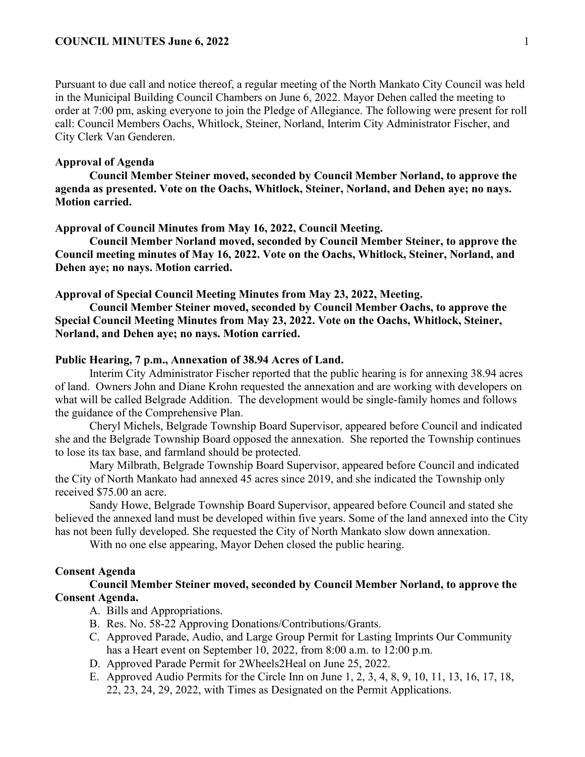Pursuant to due call and notice thereof, a regular meeting of the North Mankato City Council was held in the Municipal Building Council Chambers on June 6, 2022. Mayor Dehen called the meeting to order at 7:00 pm, asking everyone to join the Pledge of Allegiance. The following were present for roll call: Council Members Oachs, Whitlock, Steiner, Norland, Interim City Administrator Fischer, and City Clerk Van Genderen.

## **Approval of Agenda**

**Council Member Steiner moved, seconded by Council Member Norland, to approve the agenda as presented. Vote on the Oachs, Whitlock, Steiner, Norland, and Dehen aye; no nays. Motion carried.** 

#### **Approval of Council Minutes from May 16, 2022, Council Meeting.**

**Council Member Norland moved, seconded by Council Member Steiner, to approve the Council meeting minutes of May 16, 2022. Vote on the Oachs, Whitlock, Steiner, Norland, and Dehen aye; no nays. Motion carried.** 

**Approval of Special Council Meeting Minutes from May 23, 2022, Meeting.**

**Council Member Steiner moved, seconded by Council Member Oachs, to approve the Special Council Meeting Minutes from May 23, 2022. Vote on the Oachs, Whitlock, Steiner, Norland, and Dehen aye; no nays. Motion carried.** 

### **Public Hearing, 7 p.m., Annexation of 38.94 Acres of Land.**

Interim City Administrator Fischer reported that the public hearing is for annexing 38.94 acres of land. Owners John and Diane Krohn requested the annexation and are working with developers on what will be called Belgrade Addition. The development would be single-family homes and follows the guidance of the Comprehensive Plan.

Cheryl Michels, Belgrade Township Board Supervisor, appeared before Council and indicated she and the Belgrade Township Board opposed the annexation. She reported the Township continues to lose its tax base, and farmland should be protected.

Mary Milbrath, Belgrade Township Board Supervisor, appeared before Council and indicated the City of North Mankato had annexed 45 acres since 2019, and she indicated the Township only received \$75.00 an acre.

Sandy Howe, Belgrade Township Board Supervisor, appeared before Council and stated she believed the annexed land must be developed within five years. Some of the land annexed into the City has not been fully developed. She requested the City of North Mankato slow down annexation.

With no one else appearing, Mayor Dehen closed the public hearing.

## **Consent Agenda**

**Council Member Steiner moved, seconded by Council Member Norland, to approve the Consent Agenda.**

- A. Bills and Appropriations.
- B. Res. No. 58-22 Approving Donations/Contributions/Grants.
- C. Approved Parade, Audio, and Large Group Permit for Lasting Imprints Our Community has a Heart event on September 10, 2022, from 8:00 a.m. to 12:00 p.m.
- D. Approved Parade Permit for 2Wheels2Heal on June 25, 2022.
- E. Approved Audio Permits for the Circle Inn on June 1, 2, 3, 4, 8, 9, 10, 11, 13, 16, 17, 18, 22, 23, 24, 29, 2022, with Times as Designated on the Permit Applications.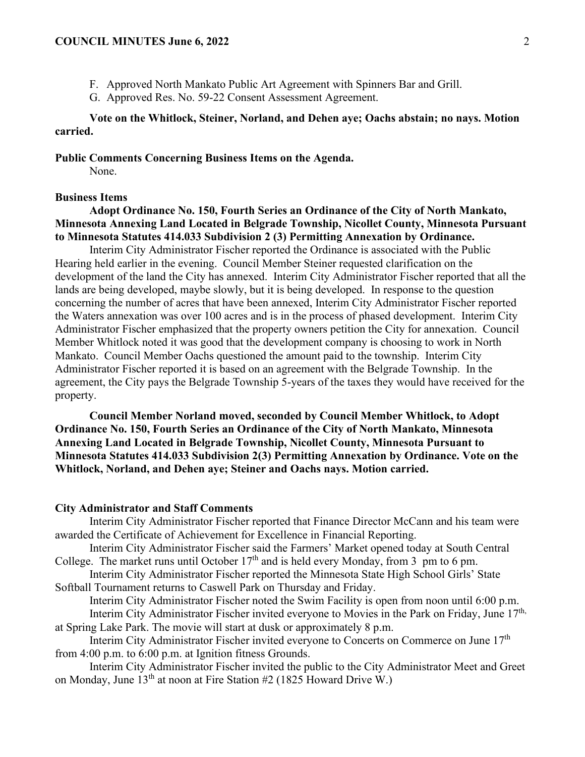- F. Approved North Mankato Public Art Agreement with Spinners Bar and Grill.
- G. Approved Res. No. 59-22 Consent Assessment Agreement.

# **Vote on the Whitlock, Steiner, Norland, and Dehen aye; Oachs abstain; no nays. Motion carried.**

**Public Comments Concerning Business Items on the Agenda.**

None.

### **Business Items**

# **Adopt Ordinance No. 150, Fourth Series an Ordinance of the City of North Mankato, Minnesota Annexing Land Located in Belgrade Township, Nicollet County, Minnesota Pursuant to Minnesota Statutes 414.033 Subdivision 2 (3) Permitting Annexation by Ordinance.**

Interim City Administrator Fischer reported the Ordinance is associated with the Public Hearing held earlier in the evening. Council Member Steiner requested clarification on the development of the land the City has annexed. Interim City Administrator Fischer reported that all the lands are being developed, maybe slowly, but it is being developed. In response to the question concerning the number of acres that have been annexed, Interim City Administrator Fischer reported the Waters annexation was over 100 acres and is in the process of phased development. Interim City Administrator Fischer emphasized that the property owners petition the City for annexation. Council Member Whitlock noted it was good that the development company is choosing to work in North Mankato. Council Member Oachs questioned the amount paid to the township. Interim City Administrator Fischer reported it is based on an agreement with the Belgrade Township. In the agreement, the City pays the Belgrade Township 5-years of the taxes they would have received for the property.

**Council Member Norland moved, seconded by Council Member Whitlock, to Adopt Ordinance No. 150, Fourth Series an Ordinance of the City of North Mankato, Minnesota Annexing Land Located in Belgrade Township, Nicollet County, Minnesota Pursuant to Minnesota Statutes 414.033 Subdivision 2(3) Permitting Annexation by Ordinance. Vote on the Whitlock, Norland, and Dehen aye; Steiner and Oachs nays. Motion carried.**

### **City Administrator and Staff Comments**

Interim City Administrator Fischer reported that Finance Director McCann and his team were awarded the Certificate of Achievement for Excellence in Financial Reporting.

Interim City Administrator Fischer said the Farmers' Market opened today at South Central College. The market runs until October 17<sup>th</sup> and is held every Monday, from 3 pm to 6 pm.

Interim City Administrator Fischer reported the Minnesota State High School Girls' State Softball Tournament returns to Caswell Park on Thursday and Friday.

Interim City Administrator Fischer noted the Swim Facility is open from noon until 6:00 p.m. Interim City Administrator Fischer invited everyone to Movies in the Park on Friday, June  $17<sup>th</sup>$ ,

at Spring Lake Park. The movie will start at dusk or approximately 8 p.m. Interim City Administrator Fischer invited everyone to Concerts on Commerce on June 17<sup>th</sup>

from 4:00 p.m. to 6:00 p.m. at Ignition fitness Grounds.

Interim City Administrator Fischer invited the public to the City Administrator Meet and Greet on Monday, June  $13<sup>th</sup>$  at noon at Fire Station #2 (1825 Howard Drive W.)